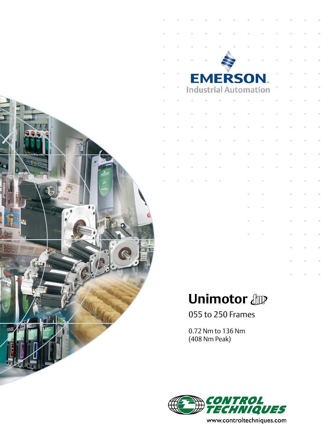

| T.             | u.                           | T. | $\bar{\alpha}$ | ×              | n                                     | ×              | ×              | ×              | $\bar{\alpha}$ |  |
|----------------|------------------------------|----|----------------|----------------|---------------------------------------|----------------|----------------|----------------|----------------|--|
| ×              | $\bar{a}$                    | ×. | $\bar{a}$      | $\bar{\alpha}$ | $\mathbb{R}^2$                        | ×.             | ×              | II.            | ×,             |  |
| $\alpha$       | u,                           | ×. |                |                | $\mathbf{r}$                          | ×              | ×,             | $\mathbf{r}$   | $\mathbb{R}^2$ |  |
| $\bar{\alpha}$ |                              |    |                |                | <b>EMERSON</b>                        |                | $\bar{a}$      | $\mathbb{H}$   | $\mathbb H$    |  |
| $\mathbb{H}$   | <b>Industrial Automation</b> |    |                |                |                                       |                | $\bar{a}$      | $\bar{\alpha}$ | $\bar{\alpha}$ |  |
| $\mathbb{R}^2$ | ×                            | I. | $\bar{\alpha}$ | ×              | $\bar{\alpha}$                        | $\bar{\alpha}$ | $\bar{a}$      | ×              | ×              |  |
| ×              | ×.                           | ×. | I.             | i.             | ×                                     | ×              | ×              | u,             | $\mathbb{R}^2$ |  |
| $\mathbf{u}$   | ×,                           | ×. | $\bar{a}$      | j.             | ×                                     | $\bar{a}$      | ×              | $\mathbf{r}$   | $\mathbb{R}$   |  |
| T.             | $\mathbb{R}$                 | ×  | ×              | ×              | $\bar{\alpha}$                        | $\bar{\alpha}$ | $\bar{a}$      | $\mathbb{R}$   | $\mathbb H$    |  |
| $\mathbb{R}$   | ×                            | ×  | $\mathbb{R}^2$ | ×              | $\bar{\alpha}$                        | $\bar{\alpha}$ | $\bar{\alpha}$ | $\mathbb{R}$   | $\bar{\alpha}$ |  |
| ×              | ×                            | ×  | $\bar{\alpha}$ |                | ×                                     | ×              | ×              | ×              | ×              |  |
| ×.             | u.                           | ×, | $\bar{\alpha}$ |                | ×                                     | I.             |                | $\equiv$       | $\equiv$       |  |
|                |                              |    |                |                | ×                                     | ×              |                | $\mathbb{R}$   | $\mathbb{R}$   |  |
|                |                              |    |                |                | u,                                    | ×              |                | $\bar{\rm H}$  | $\bar{\alpha}$ |  |
|                |                              |    |                |                | $\begin{array}{c} \hline \end{array}$ | $\equiv$       |                | $\mathbb{H}$   | $\equiv$       |  |
|                |                              |    |                |                | ×                                     | ×              |                | ×              | $\mathbb H$    |  |
|                |                              |    |                |                |                                       |                |                | ×              | $\equiv$       |  |
|                |                              |    |                |                |                                       |                |                |                |                |  |

# **Unimotor Unimotor**

055 to 250 Frames

0.72 Nm to 136 Nm (408 Nm Peak)



www.controltechniques.com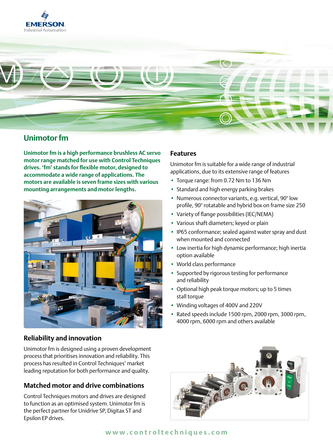



# **Unimotor fm**

**Unimotor fm is a high performance brushless AC servo motor range matched for use with Control Techniques drives. 'fm' stands for flexible motor, designed to accommodate a wide range of applications. The motors are available is seven frame sizes with various mounting arrangements and motor lengths.**



# **Reliability and innovation**

Unimotor fm is designed using a proven development process that prioritises innovation and reliability. This process has resulted in Control Techniques' market leading reputation for both performance and quality.

# **Matched motor and drive combinations**

Control Techniques motors and drives are designed to function as an optimised system. Unimotor fm is the perfect partner for Unidrive SP, Digitax ST and Epsilon EP drives.

### **Features**

Unimotor fm is suitable for a wide range of industrial applications, due to its extensive range of features

- Torque range: from 0.72 Nm to 136 Nm
- Standard and high energy parking brakes
- Numerous connector variants, e.g. vertical, 90° low profile, 90° rotatable and hybrid box on frame size 250
- Variety of flange possibilities (IEC/NEMA)
- Various shaft diameters; keyed or plain
- IP65 conformance; sealed against water spray and dust when mounted and connected
- Low inertia for high dynamic performance; high inertia option available
- World class performance
- Supported by rigorous testing for performance and reliability
- Optional high peak torque motors; up to 5 times stall torque
- Winding voltages of 400V and 220V
- Rated speeds include 1500 rpm, 2000 rpm, 3000 rpm, 4000 rpm, 6000 rpm and others available

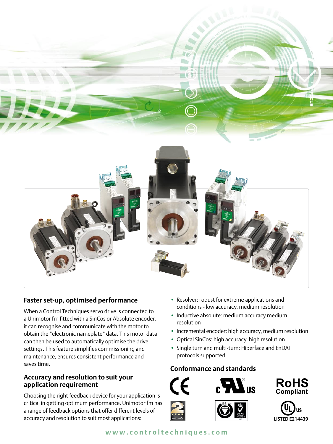

# **Faster set-up, optimised performance**

When a Control Techniques servo drive is connected to a Unimotor fm fitted with a SinCos or Absolute encoder, it can recognise and communicate with the motor to obtain the "electronic nameplate" data. This motor data can then be used to automatically optimise the drive settings. This feature simplifies commissioning and maintenance, ensures consistent performance and saves time.

## **Accuracy and resolution to suit your application requirement**

Choosing the right feedback device for your application is critical in getting optimum performance. Unimotor fm has a range of feedback options that offer different levels of **IS<sup>O</sup> <sup>9</sup>00<sup>2</sup>**accuracy and resolution to suit most applications: **A<sup>P</sup> LISTED E214439 PROVA<sup>L</sup>**

- Resolver: robust for extreme applications and conditions - low accuracy, medium resolution
- Inductive absolute: medium accuracy medium resolution
- Incremental encoder: high accuracy, medium resolution
- Optical SinCos: high accuracy, high resolution
- Single turn and multi-turn: Hiperface and EnDAT protocols supported

## **Conformance and standards**





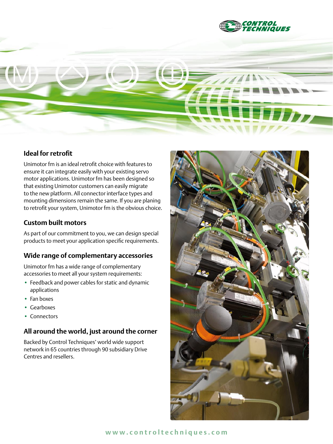

# **Ideal for retrofit**

Unimotor fm is an ideal retrofit choice with features to ensure it can integrate easily with your existing servo motor applications. Unimotor fm has been designed so that existing Unimotor customers can easily migrate to the new platform. All connector interface types and mounting dimensions remain the same. If you are planing to retrofit your system, Unimotor fm is the obvious choice.

### **Custom built motors**

As part of our commitment to you, we can design special products to meet your application specific requirements.

### **Wide range of complementary accessories**

Unimotor fm has a wide range of complementary accessories to meet all your system requirements:

- Feedback and power cables for static and dynamic applications
- Fan boxes
- Gearboxes
- Connectors

### **All around the world, just around the corner**

Backed by Control Techniques' world wide support network in 65 countries through 90 subsidiary Drive Centres and resellers.

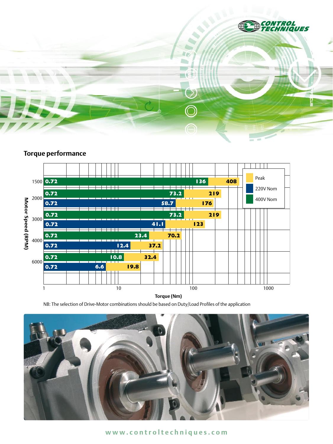

# **Torque performance**



**Torque (Nm)**

NB: The selection of Drive-Motor combinations should be based on Duty/Load Profiles of the application